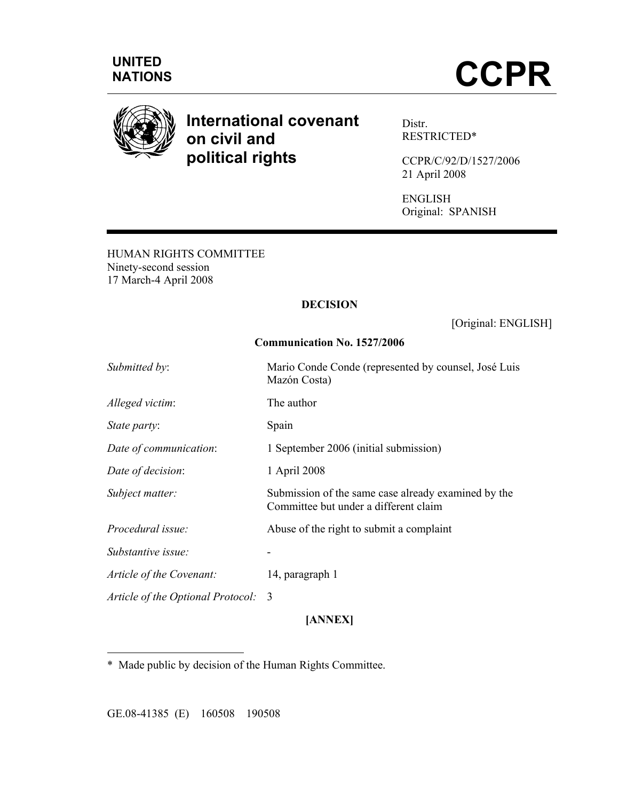



# **International covenant on civil and political rights**

Distr. RESTRICTED\*

CCPR/C/92/D/1527/2006 21 April 2008

ENGLISH Original: SPANISH

HUMAN RIGHTS COMMITTEE Ninety-second session 17 March-4 April 2008

## **DECISION**

[Original: ENGLISH]

## **Communication No. 1527/2006**

| Mario Conde Conde (represented by counsel, José Luis<br>Mazón Costa)                         |
|----------------------------------------------------------------------------------------------|
| The author                                                                                   |
| Spain                                                                                        |
| 1 September 2006 (initial submission)                                                        |
| 1 April 2008                                                                                 |
| Submission of the same case already examined by the<br>Committee but under a different claim |
| Abuse of the right to submit a complaint                                                     |
|                                                                                              |
| 14, paragraph 1                                                                              |
|                                                                                              |
|                                                                                              |

## **[ANNEX]**

\* Made public by decision of the Human Rights Committee.

GE.08-41385 (E) 160508 190508

 $\overline{a}$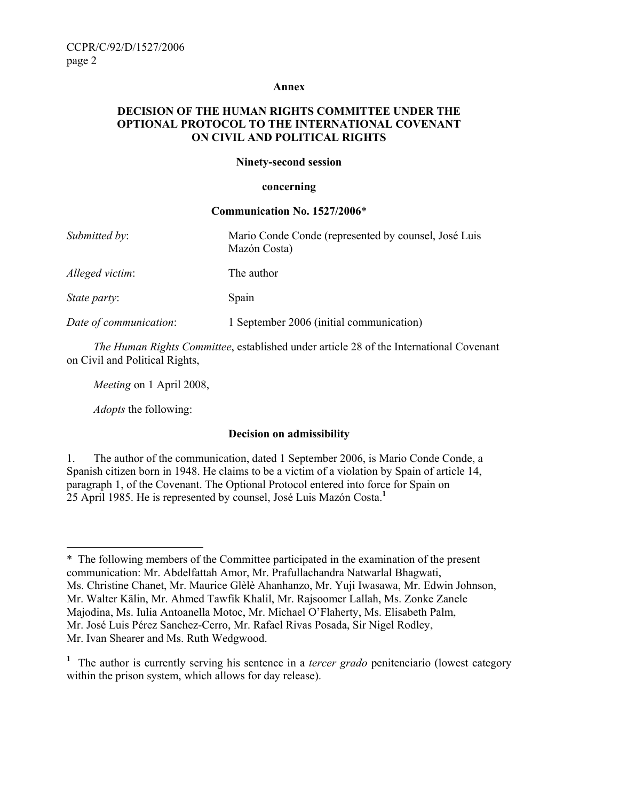#### **Annex**

### **DECISION OF THE HUMAN RIGHTS COMMITTEE UNDER THE OPTIONAL PROTOCOL TO THE INTERNATIONAL COVENANT ON CIVIL AND POLITICAL RIGHTS**

#### **Ninety-second session**

#### **concerning**

#### **Communication No. 1527/2006**\*

| Submitted by:          | Mario Conde Conde (represented by counsel, José Luis<br>Mazón Costa) |
|------------------------|----------------------------------------------------------------------|
| Alleged victim:        | The author                                                           |
| State party:           | Spain                                                                |
| Date of communication: | 1 September 2006 (initial communication)                             |

*The Human Rights Committee*, established under article 28 of the International Covenant on Civil and Political Rights,

*Meeting* on 1 April 2008,

*Adopts* the following:

## **Decision on admissibility**

1. The author of the communication, dated 1 September 2006, is Mario Conde Conde, a Spanish citizen born in 1948. He claims to be a victim of a violation by Spain of article 14, paragraph 1, of the Covenant. The Optional Protocol entered into force for Spain on 25 April 1985. He is represented by counsel, José Luis Mazón Costa.**<sup>1</sup>**

 $\overline{a}$ \* The following members of the Committee participated in the examination of the present communication: Mr. Abdelfattah Amor, Mr. Prafullachandra Natwarlal Bhagwati, Ms. Christine Chanet, Mr. Maurice Glèlè Ahanhanzo, Mr. Yuji Iwasawa, Mr. Edwin Johnson, Mr. Walter Kälin, Mr. Ahmed Tawfik Khalil, Mr. Rajsoomer Lallah, Ms. Zonke Zanele Majodina, Ms. Iulia Antoanella Motoc, Mr. Michael O'Flaherty, Ms. Elisabeth Palm, Mr. José Luis Pérez Sanchez-Cerro, Mr. Rafael Rivas Posada, Sir Nigel Rodley, Mr. Ivan Shearer and Ms. Ruth Wedgwood.

<sup>&</sup>lt;sup>1</sup> The author is currently serving his sentence in a *tercer grado* penitenciario (lowest category within the prison system, which allows for day release).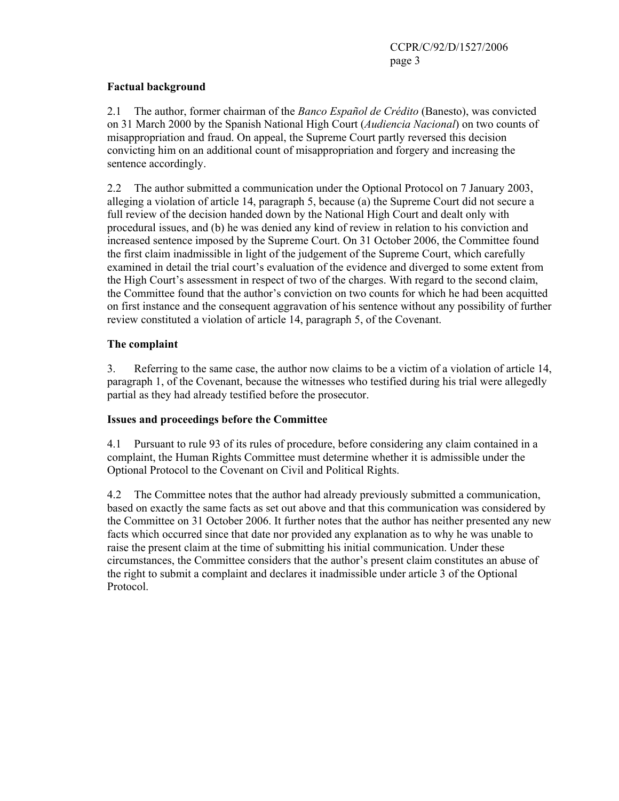## **Factual background**

2.1 The author, former chairman of the *Banco Español de Crédito* (Banesto), was convicted on 31 March 2000 by the Spanish National High Court (*Audiencia Nacional*) on two counts of misappropriation and fraud. On appeal, the Supreme Court partly reversed this decision convicting him on an additional count of misappropriation and forgery and increasing the sentence accordingly.

2.2 The author submitted a communication under the Optional Protocol on 7 January 2003, alleging a violation of article 14, paragraph 5, because (a) the Supreme Court did not secure a full review of the decision handed down by the National High Court and dealt only with procedural issues, and (b) he was denied any kind of review in relation to his conviction and increased sentence imposed by the Supreme Court. On 31 October 2006, the Committee found the first claim inadmissible in light of the judgement of the Supreme Court, which carefully examined in detail the trial court's evaluation of the evidence and diverged to some extent from the High Court's assessment in respect of two of the charges. With regard to the second claim, the Committee found that the author's conviction on two counts for which he had been acquitted on first instance and the consequent aggravation of his sentence without any possibility of further review constituted a violation of article 14, paragraph 5, of the Covenant.

## **The complaint**

3. Referring to the same case, the author now claims to be a victim of a violation of article 14, paragraph 1, of the Covenant, because the witnesses who testified during his trial were allegedly partial as they had already testified before the prosecutor.

## **Issues and proceedings before the Committee**

4.1 Pursuant to rule 93 of its rules of procedure, before considering any claim contained in a complaint, the Human Rights Committee must determine whether it is admissible under the Optional Protocol to the Covenant on Civil and Political Rights.

4.2 The Committee notes that the author had already previously submitted a communication, based on exactly the same facts as set out above and that this communication was considered by the Committee on 31 October 2006. It further notes that the author has neither presented any new facts which occurred since that date nor provided any explanation as to why he was unable to raise the present claim at the time of submitting his initial communication. Under these circumstances, the Committee considers that the author's present claim constitutes an abuse of the right to submit a complaint and declares it inadmissible under article 3 of the Optional Protocol.